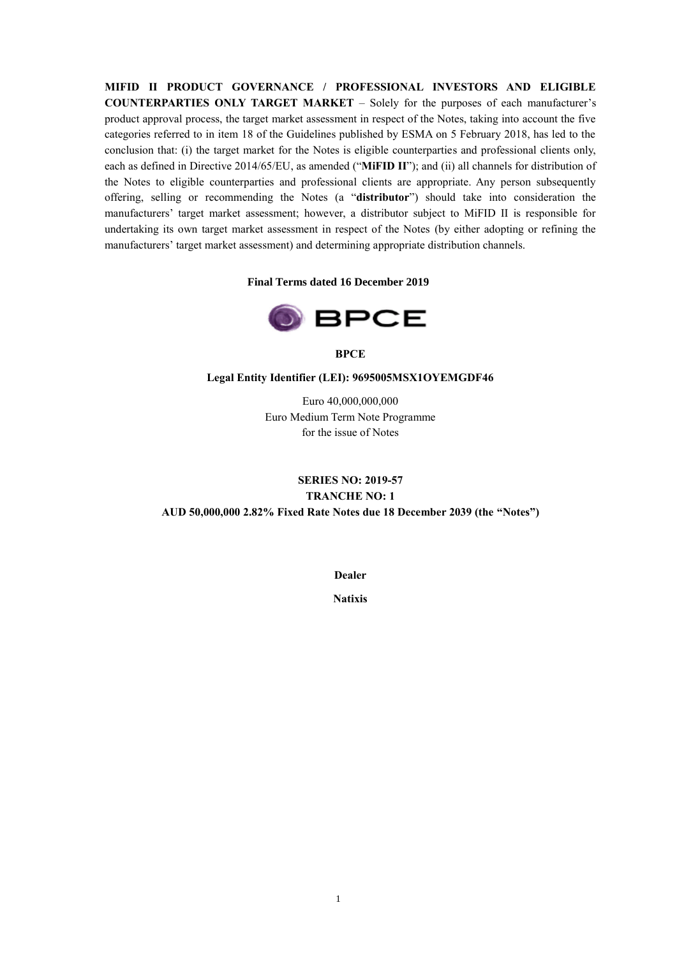**MIFID II PRODUCT GOVERNANCE / PROFESSIONAL INVESTORS AND ELIGIBLE COUNTERPARTIES ONLY TARGET MARKET** – Solely for the purposes of each manufacturer's product approval process, the target market assessment in respect of the Notes, taking into account the five categories referred to in item 18 of the Guidelines published by ESMA on 5 February 2018, has led to the conclusion that: (i) the target market for the Notes is eligible counterparties and professional clients only, each as defined in Directive 2014/65/EU, as amended ("**MiFID II**"); and (ii) all channels for distribution of the Notes to eligible counterparties and professional clients are appropriate. Any person subsequently offering, selling or recommending the Notes (a "**distributor**") should take into consideration the manufacturers' target market assessment; however, a distributor subject to MiFID II is responsible for undertaking its own target market assessment in respect of the Notes (by either adopting or refining the manufacturers' target market assessment) and determining appropriate distribution channels.

### **Final Terms dated 16 December 2019**



**BPCE**

#### **Legal Entity Identifier (LEI): 9695005MSX1OYEMGDF46**

Euro 40,000,000,000 Euro Medium Term Note Programme for the issue of Notes

## **SERIES NO: 2019-57 TRANCHE NO: 1 AUD 50,000,000 2.82% Fixed Rate Notes due 18 December 2039 (the "Notes")**

**Dealer**

**Natixis**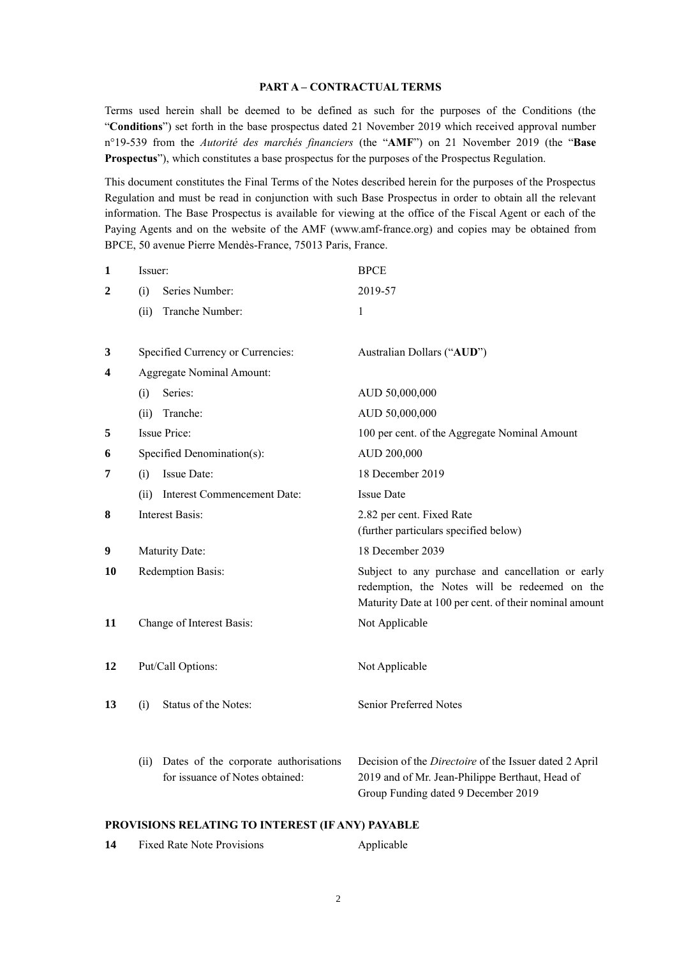#### **PART A – CONTRACTUAL TERMS**

Terms used herein shall be deemed to be defined as such for the purposes of the Conditions (the "**Conditions**") set forth in the base prospectus dated 21 November 2019 which received approval number n°19-539 from the *Autorité des marchés financiers* (the "**AMF**") on 21 November 2019 (the "**Base Prospectus**"), which constitutes a base prospectus for the purposes of the Prospectus Regulation.

This document constitutes the Final Terms of the Notes described herein for the purposes of the Prospectus Regulation and must be read in conjunction with such Base Prospectus in order to obtain all the relevant information. The Base Prospectus is available for viewing at the office of the Fiscal Agent or each of the Paying Agents and on the website of the AMF (www.amf-france.org) and copies may be obtained from BPCE, 50 avenue Pierre Mendès-France, 75013 Paris, France.

| $\mathbf{1}$   | Issuer:                                                                          | <b>BPCE</b>                                                                                                                                                  |
|----------------|----------------------------------------------------------------------------------|--------------------------------------------------------------------------------------------------------------------------------------------------------------|
| $\overline{2}$ | Series Number:<br>(i)                                                            | 2019-57                                                                                                                                                      |
|                | Tranche Number:<br>(ii)                                                          | $\mathbf{1}$                                                                                                                                                 |
| 3              | Specified Currency or Currencies:                                                | Australian Dollars ("AUD")                                                                                                                                   |
| 4              | Aggregate Nominal Amount:                                                        |                                                                                                                                                              |
|                | Series:<br>(i)                                                                   | AUD 50,000,000                                                                                                                                               |
|                | Tranche:<br>(ii)                                                                 | AUD 50,000,000                                                                                                                                               |
| 5              | <b>Issue Price:</b>                                                              | 100 per cent. of the Aggregate Nominal Amount                                                                                                                |
| 6              | Specified Denomination(s):                                                       | AUD 200,000                                                                                                                                                  |
| 7              | <b>Issue Date:</b><br>(i)                                                        | 18 December 2019                                                                                                                                             |
|                | <b>Interest Commencement Date:</b><br>(ii)                                       | <b>Issue Date</b>                                                                                                                                            |
| 8              | <b>Interest Basis:</b>                                                           | 2.82 per cent. Fixed Rate<br>(further particulars specified below)                                                                                           |
| 9              | Maturity Date:                                                                   | 18 December 2039                                                                                                                                             |
| 10             | Redemption Basis:                                                                | Subject to any purchase and cancellation or early<br>redemption, the Notes will be redeemed on the<br>Maturity Date at 100 per cent. of their nominal amount |
| 11             | Change of Interest Basis:                                                        | Not Applicable                                                                                                                                               |
| 12             | Put/Call Options:                                                                | Not Applicable                                                                                                                                               |
| 13             | Status of the Notes:<br>(i)                                                      | Senior Preferred Notes                                                                                                                                       |
|                | Dates of the corporate authorisations<br>(ii)<br>for issuance of Notes obtained: | Decision of the Directoire of the Issuer dated 2 April<br>2019 and of Mr. Jean-Philippe Berthaut, Head of<br>Group Funding dated 9 December 2019             |

### **PROVISIONS RELATING TO INTEREST (IF ANY) PAYABLE**

| 14 | <b>Fixed Rate Note Provisions</b> | Applicable |
|----|-----------------------------------|------------|
|    |                                   |            |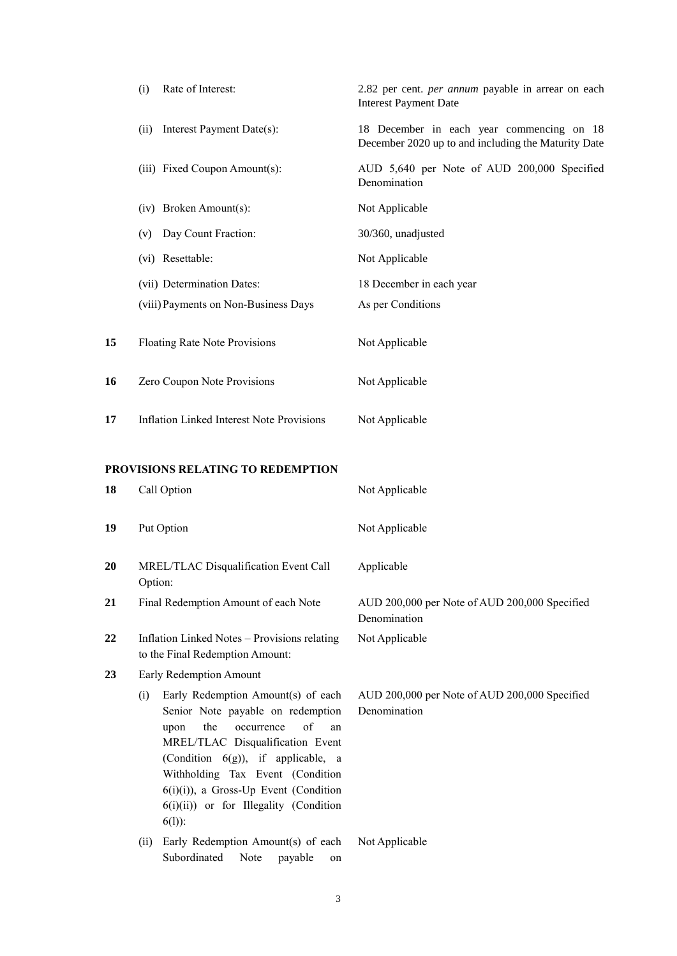|    | Rate of Interest:<br>(i)                                                                                                                                                                                                                                                                                                                | 2.82 per cent. per annum payable in arrear on each<br><b>Interest Payment Date</b>               |
|----|-----------------------------------------------------------------------------------------------------------------------------------------------------------------------------------------------------------------------------------------------------------------------------------------------------------------------------------------|--------------------------------------------------------------------------------------------------|
|    | Interest Payment Date(s):<br>(ii)                                                                                                                                                                                                                                                                                                       | 18 December in each year commencing on 18<br>December 2020 up to and including the Maturity Date |
|    | (iii) Fixed Coupon Amount(s):                                                                                                                                                                                                                                                                                                           | AUD 5,640 per Note of AUD 200,000 Specified<br>Denomination                                      |
|    | (iv) Broken Amount(s):                                                                                                                                                                                                                                                                                                                  | Not Applicable                                                                                   |
|    | Day Count Fraction:<br>(v)                                                                                                                                                                                                                                                                                                              | 30/360, unadjusted                                                                               |
|    | (vi) Resettable:                                                                                                                                                                                                                                                                                                                        | Not Applicable                                                                                   |
|    | (vii) Determination Dates:                                                                                                                                                                                                                                                                                                              | 18 December in each year                                                                         |
|    | (viii) Payments on Non-Business Days                                                                                                                                                                                                                                                                                                    | As per Conditions                                                                                |
| 15 | Floating Rate Note Provisions                                                                                                                                                                                                                                                                                                           | Not Applicable                                                                                   |
| 16 | Zero Coupon Note Provisions                                                                                                                                                                                                                                                                                                             | Not Applicable                                                                                   |
| 17 | <b>Inflation Linked Interest Note Provisions</b>                                                                                                                                                                                                                                                                                        | Not Applicable                                                                                   |
|    | <b>PROVISIONS RELATING TO REDEMPTION</b>                                                                                                                                                                                                                                                                                                |                                                                                                  |
| 18 | Call Option                                                                                                                                                                                                                                                                                                                             | Not Applicable                                                                                   |
| 19 | Put Option                                                                                                                                                                                                                                                                                                                              | Not Applicable                                                                                   |
| 20 | MREL/TLAC Disqualification Event Call<br>Option:                                                                                                                                                                                                                                                                                        | Applicable                                                                                       |
| 21 | Final Redemption Amount of each Note                                                                                                                                                                                                                                                                                                    | AUD 200,000 per Note of AUD 200,000 Specified<br>Denomination                                    |
| 22 | Inflation Linked Notes - Provisions relating<br>to the Final Redemption Amount:                                                                                                                                                                                                                                                         | Not Applicable                                                                                   |
| 23 | Early Redemption Amount                                                                                                                                                                                                                                                                                                                 |                                                                                                  |
|    | Early Redemption Amount(s) of each<br>(i)<br>Senior Note payable on redemption<br>of<br>the<br>occurrence<br>upon<br>an<br>MREL/TLAC Disqualification Event<br>(Condition 6(g)), if applicable, a<br>Withholding Tax Event (Condition<br>$6(i)(i)$ ), a Gross-Up Event (Condition<br>6(i)(ii)) or for Illegality (Condition<br>$6(1)$ : | AUD 200,000 per Note of AUD 200,000 Specified<br>Denomination                                    |
|    | Early Redemption Amount(s) of each<br>(ii)<br>Subordinated<br>Note<br>payable<br>on                                                                                                                                                                                                                                                     | Not Applicable                                                                                   |
|    |                                                                                                                                                                                                                                                                                                                                         |                                                                                                  |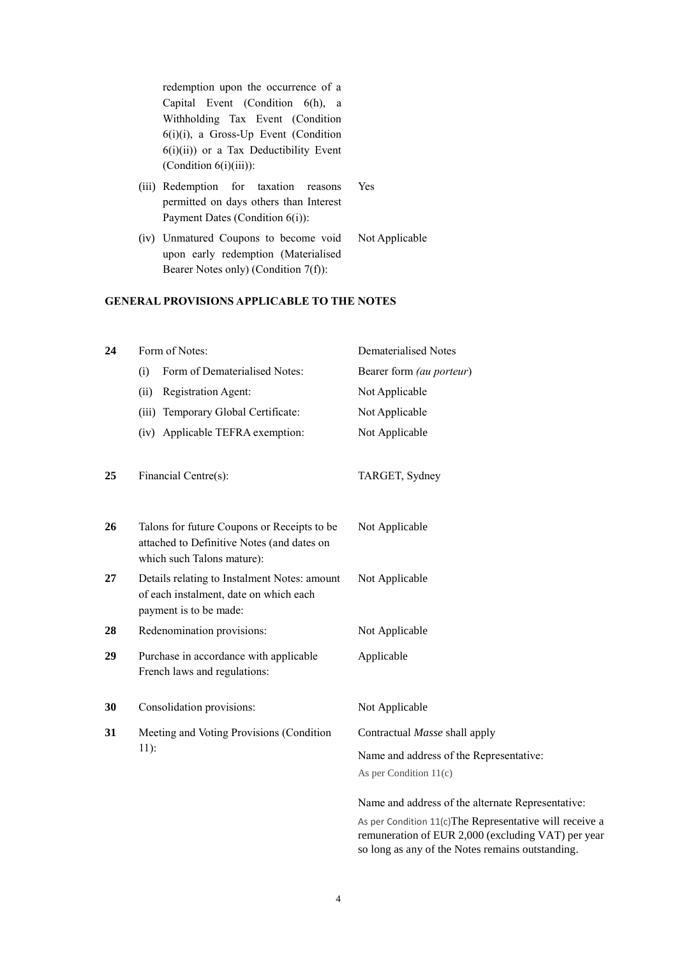redemption upon the occurrence of a Capital Event (Condition 6(h), a Withholding Tax Event (Condition 6(i)(i), a Gross-Up Event (Condition  $6(i)(ii)$ ) or a Tax Deductibility Event (Condition 6(i)(iii)):

- (iii) Redemption for taxation reasons permitted on days others than Interest Payment Dates (Condition 6(i)): Yes
- (iv) Unmatured Coupons to become void upon early redemption (Materialised Bearer Notes only) (Condition 7(f)): Not Applicable

## **GENERAL PROVISIONS APPLICABLE TO THE NOTES**

| 24 | Form of Notes:                                                                                                          | Dematerialised Notes                                                                                          |  |
|----|-------------------------------------------------------------------------------------------------------------------------|---------------------------------------------------------------------------------------------------------------|--|
|    | Form of Dematerialised Notes:<br>(i)                                                                                    | Bearer form (au porteur)                                                                                      |  |
|    | Registration Agent:<br>(ii)                                                                                             | Not Applicable                                                                                                |  |
|    | Temporary Global Certificate:<br>(iii)                                                                                  | Not Applicable                                                                                                |  |
|    | (iv) Applicable TEFRA exemption:                                                                                        | Not Applicable                                                                                                |  |
| 25 | Financial Centre(s):                                                                                                    | TARGET, Sydney                                                                                                |  |
| 26 | Talons for future Coupons or Receipts to be<br>attached to Definitive Notes (and dates on<br>which such Talons mature): | Not Applicable                                                                                                |  |
| 27 | Details relating to Instalment Notes: amount<br>of each instalment, date on which each<br>payment is to be made:        | Not Applicable                                                                                                |  |
| 28 | Redenomination provisions:                                                                                              | Not Applicable                                                                                                |  |
| 29 | Purchase in accordance with applicable<br>French laws and regulations:                                                  | Applicable                                                                                                    |  |
| 30 | Consolidation provisions:                                                                                               | Not Applicable                                                                                                |  |
| 31 | Meeting and Voting Provisions (Condition                                                                                | Contractual Masse shall apply                                                                                 |  |
|    | $11$ :                                                                                                                  | Name and address of the Representative:                                                                       |  |
|    |                                                                                                                         | As per Condition 11(c)                                                                                        |  |
|    |                                                                                                                         | Name and address of the alternate Representative:                                                             |  |
|    |                                                                                                                         | As per Condition 11(c)The Representative will receive a<br>remuneration of EUR 2,000 (excluding VAT) per year |  |

4

so long as any of the Notes remains outstanding.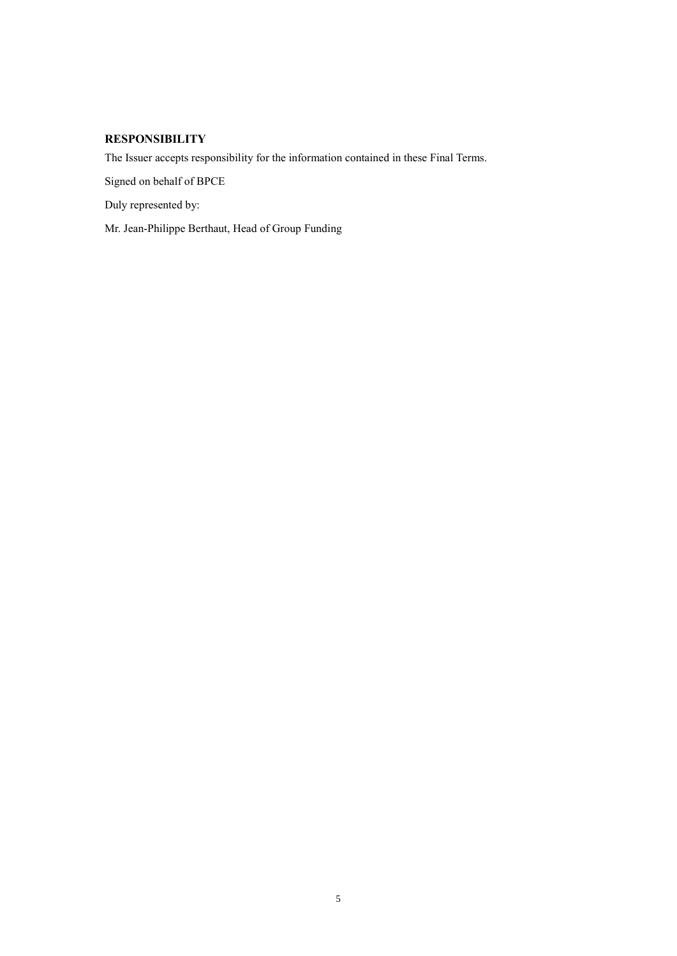# **RESPONSIBILITY**

The Issuer accepts responsibility for the information contained in these Final Terms.

Signed on behalf of BPCE

Duly represented by:

Mr. Jean-Philippe Berthaut, Head of Group Funding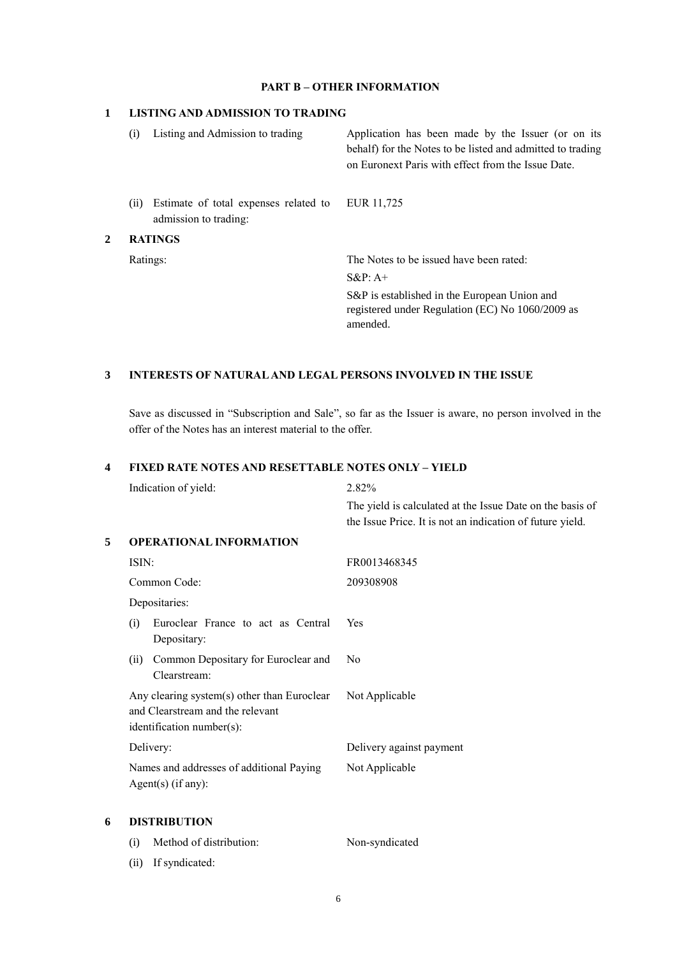### **PART B – OTHER INFORMATION**

### **1 LISTING AND ADMISSION TO TRADING**

|   | Listing and Admission to trading<br>(i) |                                       | Application has been made by the Issuer (or on its<br>behalf) for the Notes to be listed and admitted to trading<br>on Euronext Paris with effect from the Issue Date. |
|---|-----------------------------------------|---------------------------------------|------------------------------------------------------------------------------------------------------------------------------------------------------------------------|
|   | (i)<br>admission to trading:            | Estimate of total expenses related to | EUR 11,725                                                                                                                                                             |
| 2 | <b>RATINGS</b>                          |                                       |                                                                                                                                                                        |
|   | Ratings:                                |                                       | The Notes to be issued have been rated:                                                                                                                                |
|   |                                         |                                       | $S\&P: A+$                                                                                                                                                             |
|   |                                         |                                       | S&P is established in the European Union and<br>registered under Regulation (EC) No 1060/2009 as<br>amended.                                                           |

## **3 INTERESTS OF NATURAL AND LEGAL PERSONS INVOLVED IN THE ISSUE**

Save as discussed in "Subscription and Sale", so far as the Issuer is aware, no person involved in the offer of the Notes has an interest material to the offer.

## **4 FIXED RATE NOTES AND RESETTABLE NOTES ONLY – YIELD**

|   | Indication of yield:                                                                                         | 2.82%                                                                                                                  |  |  |
|---|--------------------------------------------------------------------------------------------------------------|------------------------------------------------------------------------------------------------------------------------|--|--|
|   |                                                                                                              | The yield is calculated at the Issue Date on the basis of<br>the Issue Price. It is not an indication of future yield. |  |  |
| 5 | <b>OPERATIONAL INFORMATION</b>                                                                               |                                                                                                                        |  |  |
|   | ISIN:                                                                                                        | FR0013468345                                                                                                           |  |  |
|   | Common Code:                                                                                                 | 209308908                                                                                                              |  |  |
|   | Depositaries:                                                                                                |                                                                                                                        |  |  |
|   | Euroclear France to act as Central<br>(i)<br>Depositary:                                                     | Yes                                                                                                                    |  |  |
|   | Common Depositary for Euroclear and<br>(ii)<br>Clearstream:                                                  | N <sub>0</sub>                                                                                                         |  |  |
|   | Any clearing system(s) other than Euroclear<br>and Clearstream and the relevant<br>identification number(s): | Not Applicable                                                                                                         |  |  |
|   | Delivery:                                                                                                    | Delivery against payment                                                                                               |  |  |
|   | Names and addresses of additional Paying<br>$Agent(s)$ (if any):                                             | Not Applicable                                                                                                         |  |  |
| 6 | <b>DISTRIBUTION</b>                                                                                          |                                                                                                                        |  |  |
|   | Method of distribution:<br>(i)                                                                               | Non-syndicated                                                                                                         |  |  |
|   |                                                                                                              |                                                                                                                        |  |  |

(ii) If syndicated: